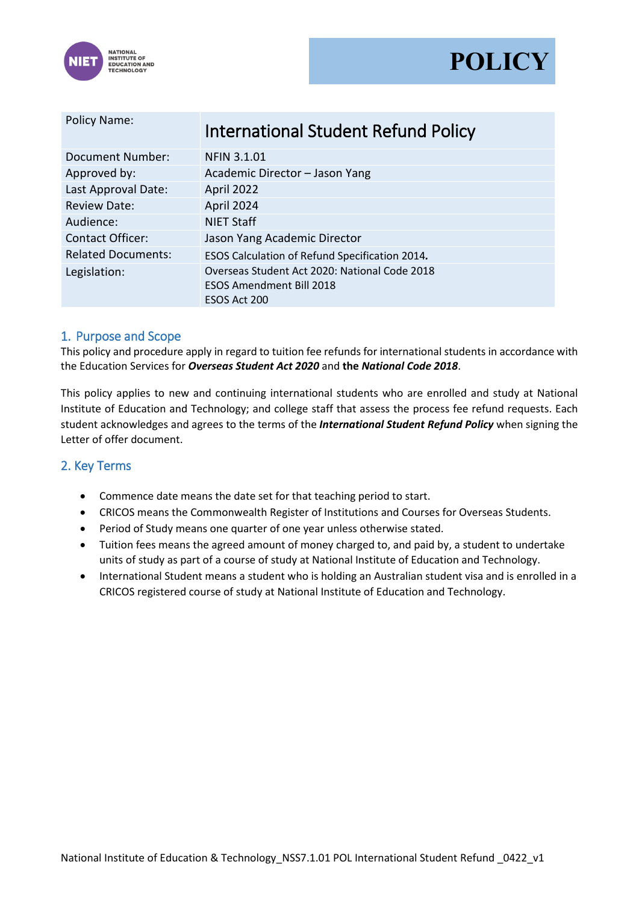



| <b>Policy Name:</b>       | <b>International Student Refund Policy</b>                                                       |  |  |
|---------------------------|--------------------------------------------------------------------------------------------------|--|--|
| <b>Document Number:</b>   | <b>NFIN 3.1.01</b>                                                                               |  |  |
| Approved by:              | Academic Director - Jason Yang                                                                   |  |  |
| Last Approval Date:       | April 2022                                                                                       |  |  |
| <b>Review Date:</b>       | April 2024                                                                                       |  |  |
| Audience:                 | <b>NIET Staff</b>                                                                                |  |  |
| <b>Contact Officer:</b>   | Jason Yang Academic Director                                                                     |  |  |
| <b>Related Documents:</b> | ESOS Calculation of Refund Specification 2014.                                                   |  |  |
| Legislation:              | Overseas Student Act 2020: National Code 2018<br><b>ESOS Amendment Bill 2018</b><br>ESOS Act 200 |  |  |

### 1. Purpose and Scope

This policy and procedure apply in regard to tuition fee refunds for international students in accordance with the Education Services for *Overseas Student Act 2020* and **the** *National Code 2018*.

This policy applies to new and continuing international students who are enrolled and study at National Institute of Education and Technology; and college staff that assess the process fee refund requests. Each student acknowledges and agrees to the terms of the *International Student Refund Policy* when signing the Letter of offer document.

### 2. Key Terms

- Commence date means the date set for that teaching period to start.
- CRICOS means the Commonwealth Register of Institutions and Courses for Overseas Students.
- Period of Study means one quarter of one year unless otherwise stated.
- Tuition fees means the agreed amount of money charged to, and paid by, a student to undertake units of study as part of a course of study at National Institute of Education and Technology.
- International Student means a student who is holding an Australian student visa and is enrolled in a CRICOS registered course of study at National Institute of Education and Technology.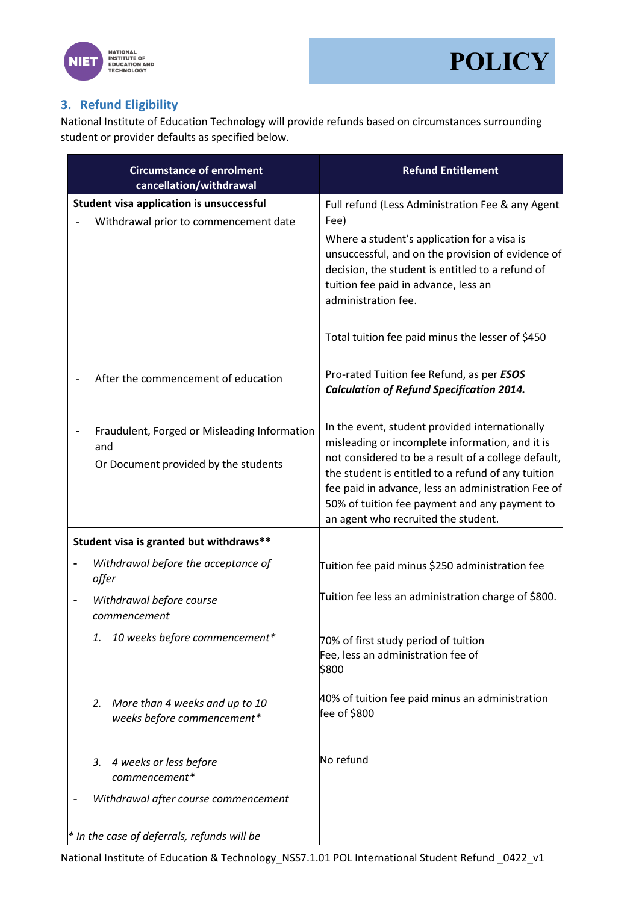



# **3. Refund Eligibility**

National Institute of Education Technology will provide refunds based on circumstances surrounding student or provider defaults as specified below.

|                                               | <b>Circumstance of enrolment</b><br>cancellation/withdrawal                                 | <b>Refund Entitlement</b>                                                                                                                                                                                                                                                                                                                                    |  |
|-----------------------------------------------|---------------------------------------------------------------------------------------------|--------------------------------------------------------------------------------------------------------------------------------------------------------------------------------------------------------------------------------------------------------------------------------------------------------------------------------------------------------------|--|
|                                               | Student visa application is unsuccessful<br>Withdrawal prior to commencement date           | Full refund (Less Administration Fee & any Agent<br>Fee)<br>Where a student's application for a visa is<br>unsuccessful, and on the provision of evidence of<br>decision, the student is entitled to a refund of<br>tuition fee paid in advance, less an<br>administration fee.                                                                              |  |
|                                               |                                                                                             | Total tuition fee paid minus the lesser of \$450                                                                                                                                                                                                                                                                                                             |  |
|                                               | After the commencement of education                                                         | Pro-rated Tuition fee Refund, as per ESOS<br><b>Calculation of Refund Specification 2014.</b>                                                                                                                                                                                                                                                                |  |
|                                               | Fraudulent, Forged or Misleading Information<br>and<br>Or Document provided by the students | In the event, student provided internationally<br>misleading or incomplete information, and it is<br>not considered to be a result of a college default,<br>the student is entitled to a refund of any tuition<br>fee paid in advance, less an administration Fee of<br>50% of tuition fee payment and any payment to<br>an agent who recruited the student. |  |
|                                               | Student visa is granted but withdraws**                                                     |                                                                                                                                                                                                                                                                                                                                                              |  |
|                                               | Withdrawal before the acceptance of<br>offer                                                | Tuition fee paid minus \$250 administration fee                                                                                                                                                                                                                                                                                                              |  |
| $\overline{a}$                                | Withdrawal before course<br>commencement                                                    | Tuition fee less an administration charge of \$800.                                                                                                                                                                                                                                                                                                          |  |
|                                               | 1. 10 weeks before commencement*                                                            | 70% of first study period of tuition<br>Fee, less an administration fee of<br>\$800                                                                                                                                                                                                                                                                          |  |
|                                               | 2. More than 4 weeks and up to 10<br>weeks before commencement*                             | 40% of tuition fee paid minus an administration<br>fee of \$800                                                                                                                                                                                                                                                                                              |  |
|                                               | 4 weeks or less before<br>3.<br>commencement*                                               | No refund                                                                                                                                                                                                                                                                                                                                                    |  |
|                                               | Withdrawal after course commencement                                                        |                                                                                                                                                                                                                                                                                                                                                              |  |
| $*$ In the case of deferrals, refunds will be |                                                                                             |                                                                                                                                                                                                                                                                                                                                                              |  |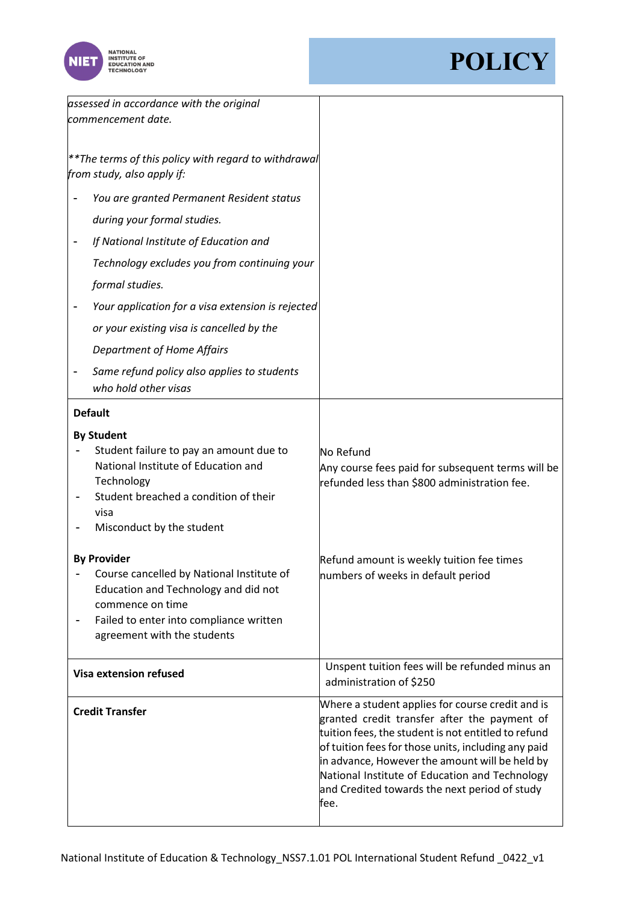



| assessed in accordance with the original<br>commencement date.                                                                                                                                        |                                                                                                                                                                                                                                                                                                                                                                             |
|-------------------------------------------------------------------------------------------------------------------------------------------------------------------------------------------------------|-----------------------------------------------------------------------------------------------------------------------------------------------------------------------------------------------------------------------------------------------------------------------------------------------------------------------------------------------------------------------------|
| ** The terms of this policy with regard to withdrawal<br>from study, also apply if:                                                                                                                   |                                                                                                                                                                                                                                                                                                                                                                             |
| You are granted Permanent Resident status                                                                                                                                                             |                                                                                                                                                                                                                                                                                                                                                                             |
| during your formal studies.                                                                                                                                                                           |                                                                                                                                                                                                                                                                                                                                                                             |
| If National Institute of Education and                                                                                                                                                                |                                                                                                                                                                                                                                                                                                                                                                             |
| Technology excludes you from continuing your                                                                                                                                                          |                                                                                                                                                                                                                                                                                                                                                                             |
| formal studies.                                                                                                                                                                                       |                                                                                                                                                                                                                                                                                                                                                                             |
| Your application for a visa extension is rejected                                                                                                                                                     |                                                                                                                                                                                                                                                                                                                                                                             |
| or your existing visa is cancelled by the                                                                                                                                                             |                                                                                                                                                                                                                                                                                                                                                                             |
| <b>Department of Home Affairs</b>                                                                                                                                                                     |                                                                                                                                                                                                                                                                                                                                                                             |
| Same refund policy also applies to students<br>who hold other visas                                                                                                                                   |                                                                                                                                                                                                                                                                                                                                                                             |
| <b>Default</b>                                                                                                                                                                                        |                                                                                                                                                                                                                                                                                                                                                                             |
| <b>By Student</b>                                                                                                                                                                                     |                                                                                                                                                                                                                                                                                                                                                                             |
| Student failure to pay an amount due to<br>National Institute of Education and<br>Technology<br>Student breached a condition of their<br>visa<br>Misconduct by the student                            | No Refund<br>Any course fees paid for subsequent terms will be<br>refunded less than \$800 administration fee.                                                                                                                                                                                                                                                              |
| <b>By Provider</b><br>Course cancelled by National Institute of<br>Education and Technology and did not<br>commence on time<br>Failed to enter into compliance written<br>agreement with the students | Refund amount is weekly tuition fee times<br>numbers of weeks in default period                                                                                                                                                                                                                                                                                             |
| <b>Visa extension refused</b>                                                                                                                                                                         | Unspent tuition fees will be refunded minus an<br>administration of \$250                                                                                                                                                                                                                                                                                                   |
| <b>Credit Transfer</b>                                                                                                                                                                                | Where a student applies for course credit and is<br>granted credit transfer after the payment of<br>tuition fees, the student is not entitled to refund<br>of tuition fees for those units, including any paid<br>in advance, However the amount will be held by<br>National Institute of Education and Technology<br>and Credited towards the next period of study<br>fee. |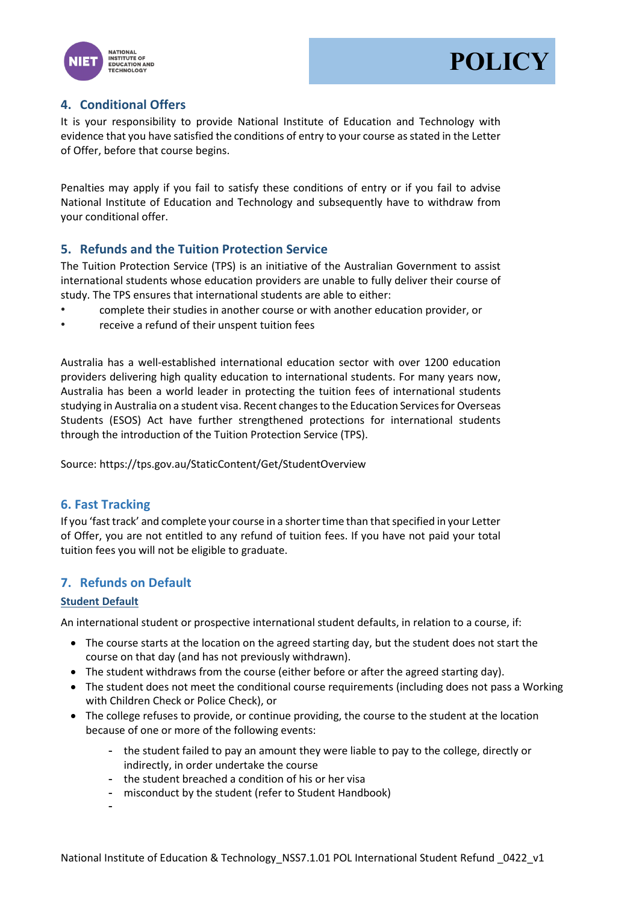



## **4. Conditional Offers**

It is your responsibility to provide National Institute of Education and Technology with evidence that you have satisfied the conditions of entry to your course as stated in the Letter of Offer, before that course begins.

Penalties may apply if you fail to satisfy these conditions of entry or if you fail to advise National Institute of Education and Technology and subsequently have to withdraw from your conditional offer.

### **5. Refunds and the Tuition Protection Service**

The Tuition Protection Service (TPS) is an initiative of the Australian Government to assist international students whose education providers are unable to fully deliver their course of study. The TPS ensures that international students are able to either:

- complete their studies in another course or with another education provider, or
- receive a refund of their unspent tuition fees

Australia has a well-established international education sector with over 1200 education providers delivering high quality education to international students. For many years now, Australia has been a world leader in protecting the tuition fees of international students studying in Australia on a student visa. Recent changes to the Education Services for Overseas Students (ESOS) Act have further strengthened protections for international students through the introduction of the Tuition Protection Service (TPS).

Source: https://tps.gov.au/StaticContent/Get/StudentOverview

### **6. Fast Tracking**

If you 'fast track' and complete your course in a shorter time than that specified in your Letter of Offer, you are not entitled to any refund of tuition fees. If you have not paid your total tuition fees you will not be eligible to graduate.

### **7. Refunds on Default**

#### **Student Default**

An international student or prospective international student defaults, in relation to a course, if:

- The course starts at the location on the agreed starting day, but the student does not start the course on that day (and has not previously withdrawn).
- The student withdraws from the course (either before or after the agreed starting day).
- The student does not meet the conditional course requirements (including does not pass a Working with Children Check or Police Check), or
- The college refuses to provide, or continue providing, the course to the student at the location because of one or more of the following events:
	- the student failed to pay an amount they were liable to pay to the college, directly or indirectly, in order undertake the course
	- the student breached a condition of his or her visa
	- misconduct by the student (refer to Student Handbook)
	- -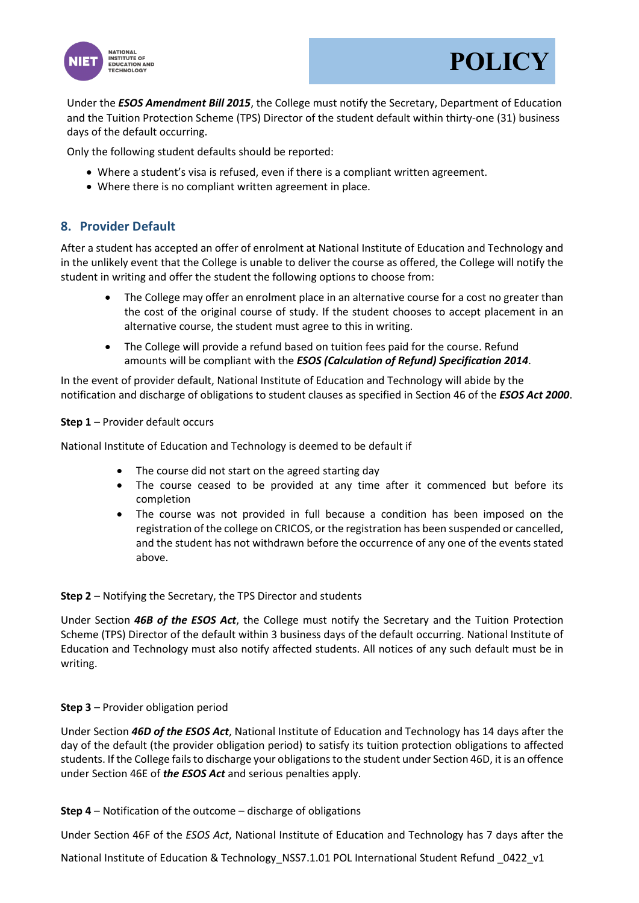



Under the *ESOS Amendment Bill 2015*, the College must notify the Secretary, Department of Education and the Tuition Protection Scheme (TPS) Director of the student default within thirty-one (31) business days of the default occurring.

Only the following student defaults should be reported:

- Where a student's visa is refused, even if there is a compliant written agreement.
- Where there is no compliant written agreement in place.

### **8. Provider Default**

After a student has accepted an offer of enrolment at National Institute of Education and Technology and in the unlikely event that the College is unable to deliver the course as offered, the College will notify the student in writing and offer the student the following options to choose from:

- The College may offer an enrolment place in an alternative course for a cost no greater than the cost of the original course of study. If the student chooses to accept placement in an alternative course, the student must agree to this in writing.
- The College will provide a refund based on tuition fees paid for the course. Refund amounts will be compliant with the *ESOS (Calculation of Refund) Specification 2014*.

In the event of provider default, National Institute of Education and Technology will abide by the notification and discharge of obligations to student clauses as specified in Section 46 of the *ESOS Act 2000*.

#### **Step 1** – Provider default occurs

National Institute of Education and Technology is deemed to be default if

- The course did not start on the agreed starting day
- The course ceased to be provided at any time after it commenced but before its completion
- The course was not provided in full because a condition has been imposed on the registration of the college on CRICOS, or the registration has been suspended or cancelled, and the student has not withdrawn before the occurrence of any one of the events stated above.

#### **Step 2** – Notifying the Secretary, the TPS Director and students

Under Section *46B of the ESOS Act*, the College must notify the Secretary and the Tuition Protection Scheme (TPS) Director of the default within 3 business days of the default occurring. National Institute of Education and Technology must also notify affected students. All notices of any such default must be in writing.

#### **Step 3** – Provider obligation period

Under Section *46D of the ESOS Act*, National Institute of Education and Technology has 14 days after the day of the default (the provider obligation period) to satisfy its tuition protection obligations to affected students. If the College fails to discharge your obligations to the student under Section 46D, it is an offence under Section 46E of *the ESOS Act* and serious penalties apply.

#### **Step 4** – Notification of the outcome – discharge of obligations

Under Section 46F of the *ESOS Act*, National Institute of Education and Technology has 7 days after the

National Institute of Education & Technology\_NSS7.1.01 POL International Student Refund \_0422\_v1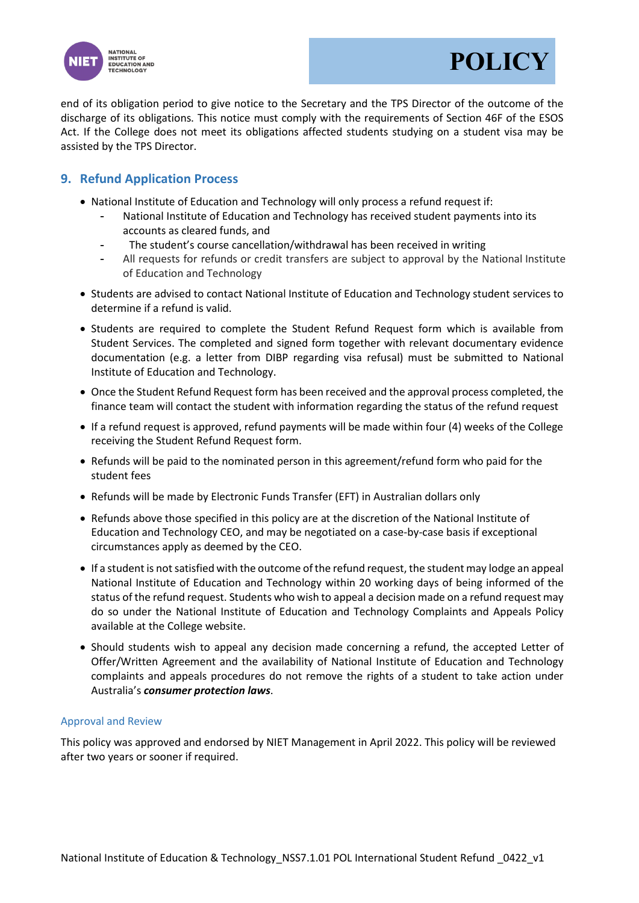



end of its obligation period to give notice to the Secretary and the TPS Director of the outcome of the discharge of its obligations. This notice must comply with the requirements of Section 46F of the ESOS Act. If the College does not meet its obligations affected students studying on a student visa may be assisted by the TPS Director.

### **9. Refund Application Process**

- National Institute of Education and Technology will only process a refund request if:
	- National Institute of Education and Technology has received student payments into its accounts as cleared funds, and
	- The student's course cancellation/withdrawal has been received in writing
	- All requests for refunds or credit transfers are subject to approval by the National Institute of Education and Technology
- Students are advised to contact National Institute of Education and Technology student services to determine if a refund is valid.
- Students are required to complete the Student Refund Request form which is available from Student Services. The completed and signed form together with relevant documentary evidence documentation (e.g. a letter from DIBP regarding visa refusal) must be submitted to National Institute of Education and Technology.
- Once the Student Refund Request form has been received and the approval process completed, the finance team will contact the student with information regarding the status of the refund request
- If a refund request is approved, refund payments will be made within four (4) weeks of the College receiving the Student Refund Request form.
- Refunds will be paid to the nominated person in this agreement/refund form who paid for the student fees
- Refunds will be made by Electronic Funds Transfer (EFT) in Australian dollars only
- Refunds above those specified in this policy are at the discretion of the National Institute of Education and Technology CEO, and may be negotiated on a case-by-case basis if exceptional circumstances apply as deemed by the CEO.
- If a student is not satisfied with the outcome of the refund request, the student may lodge an appeal National Institute of Education and Technology within 20 working days of being informed of the status of the refund request. Students who wish to appeal a decision made on a refund request may do so under the National Institute of Education and Technology Complaints and Appeals Policy available at the College website.
- Should students wish to appeal any decision made concerning a refund, the accepted Letter of Offer/Written Agreement and the availability of National Institute of Education and Technology complaints and appeals procedures do not remove the rights of a student to take action under Australia's *consumer protection laws*.

#### Approval and Review

This policy was approved and endorsed by NIET Management in April 2022. This policy will be reviewed after two years or sooner if required.